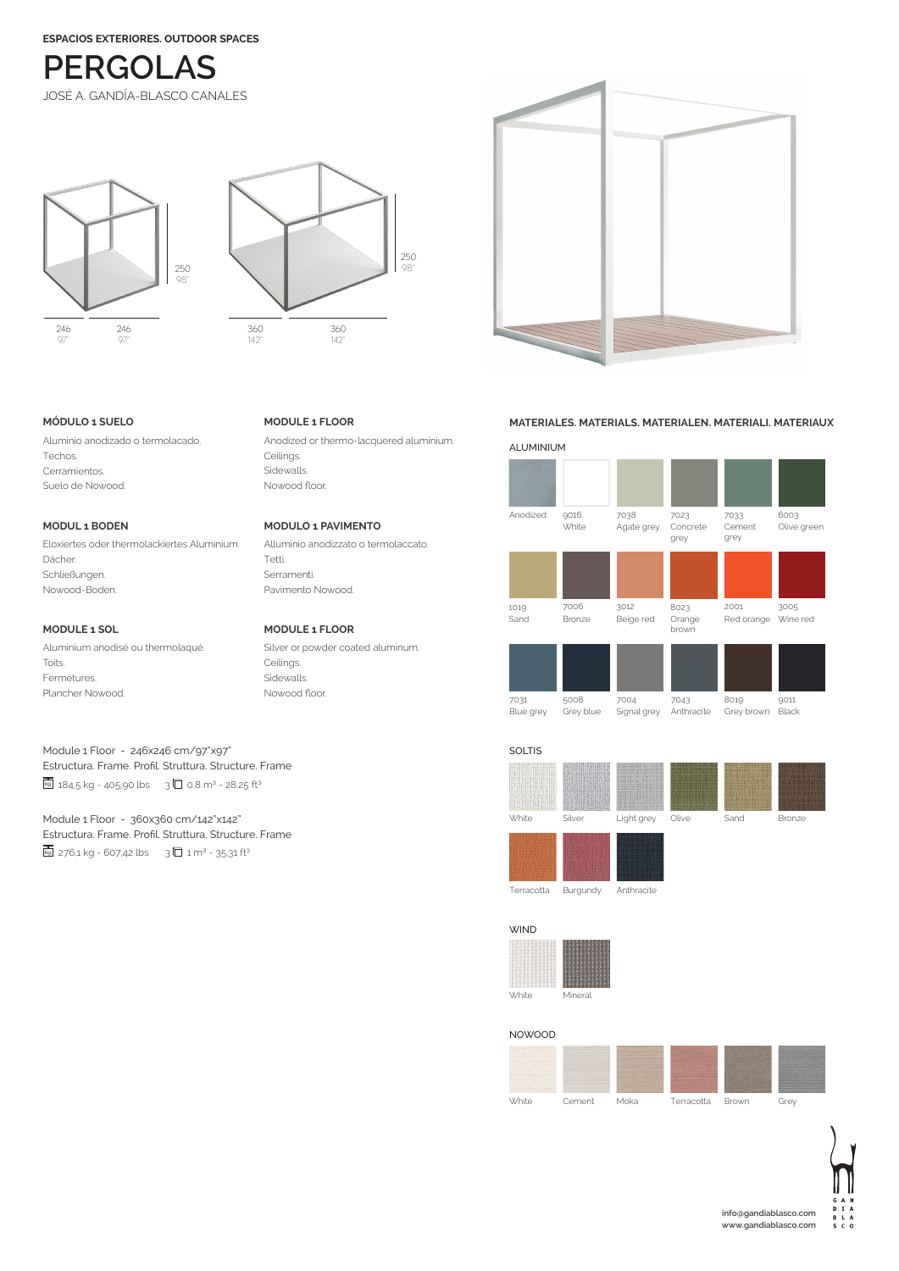**ESPACIOS EXTERIORES. OUTDOOR SPACES**



246 97" 246 97" 250 98"



**MODULE 1 FLOOR**

Ceilings. Sidewalls. Nowood floor.

Tetti. Serramenti. Pavimento Nowood.

Ceilings. Sidewalls. Nowood floor.

**MODULO 1 PAVIMENTO**

Alluminio anodizzato o termolaccato.

Silver or powder coated aluminum.

Anodized or thermo-lacquered aluminium.

**MODULE 1 FLOOR**

# **MÓDULO 1 SUELO**

Aluminio anodizado o termolacado. Techos. Cerramientos. Suelo de Nowood.

# **MODUL 1 BODEN**

Eloxiertes oder thermolackiertes Aluminium. Dächer. Schließungen. Nowood-Boden.

# **MODULE 1 SOL**

Aluminium anodisé ou thermolaqué. Toits. Fermetures. Plancher Nowood.

# Module 1 Floor - 246x246 cm/97"x97" Estructura. Frame. Profil. Struttura. Structure. Frame  $\overline{k_9}$  184,5 kg - 405,90 lbs 3 0,8 m<sup>3</sup> - 28,25 ft<sup>3</sup>

Module 1 Floor - 360x360 cm/142"x142" Estructura. Frame. Profil. Struttura. Structure. Frame  $kq$  276,1 kg - 607,42 lbs 3  $\Box$  1 m<sup>3</sup> - 35,31 ft<sup>3</sup>

# **MATERIALES. MATERIALS. MATERIALEN. MATERIALI. MATERIAUX**





Terracotta Burgundy Anthracite

| <b>WIND</b>  |         |
|--------------|---------|
|              |         |
| <b>White</b> | Mineral |

NOWOOD

| <b>White</b>              | Cement                                         | Moka | Terracotta | Brown | Grev |
|---------------------------|------------------------------------------------|------|------------|-------|------|
| <b><i>CALL AVENUE</i></b> | <b>STORY AND FOR THE ARTIST AND COMMENTARY</b> |      |            |       |      |



 $\epsilon$  o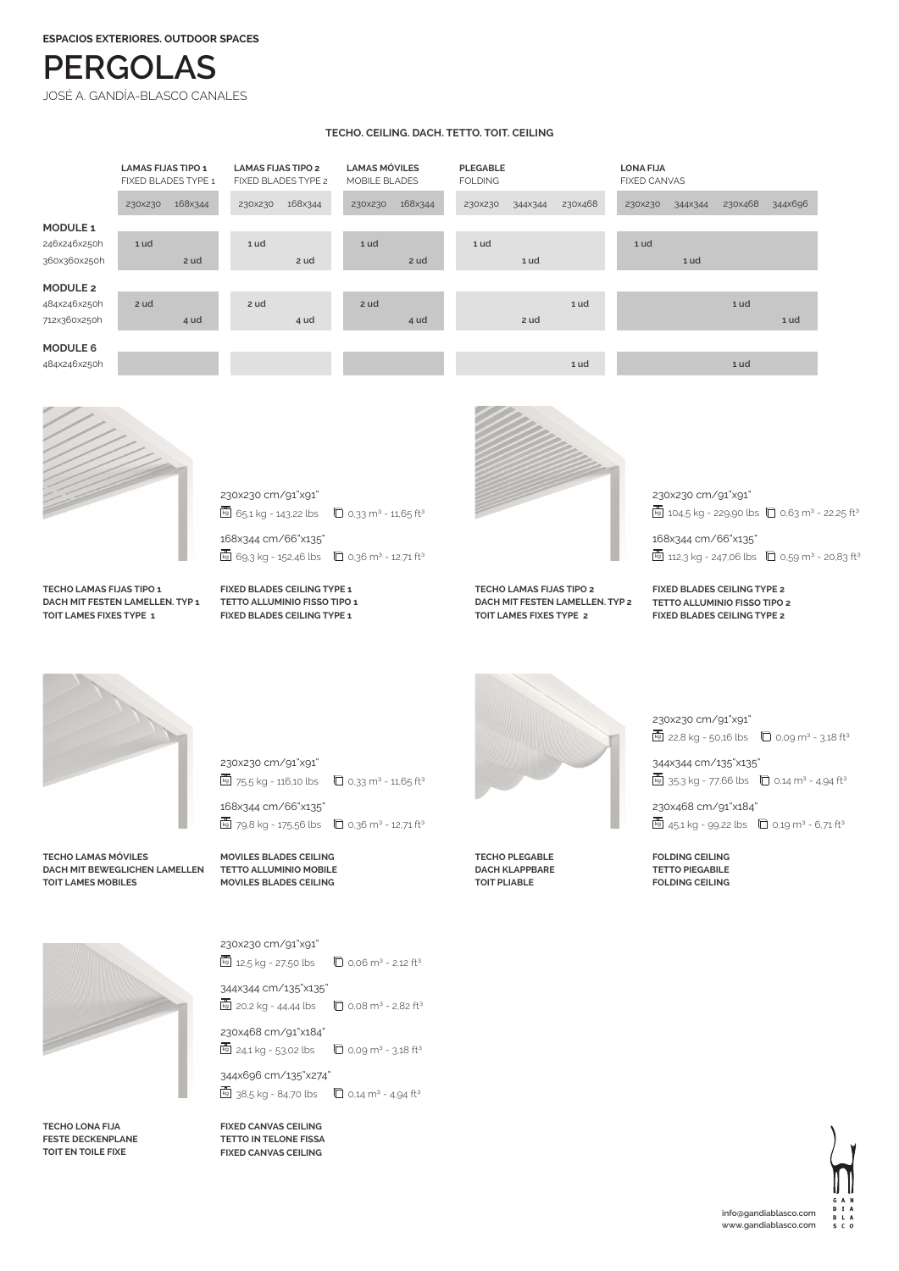**ESPACIOS EXTERIORES. OUTDOOR SPACES**

# **PERGOLAS**

JOSÉ A. GANDÍA-BLASCO CANALES

### **TECHO. CEILING. DACH. TETTO. TOIT. CEILING**

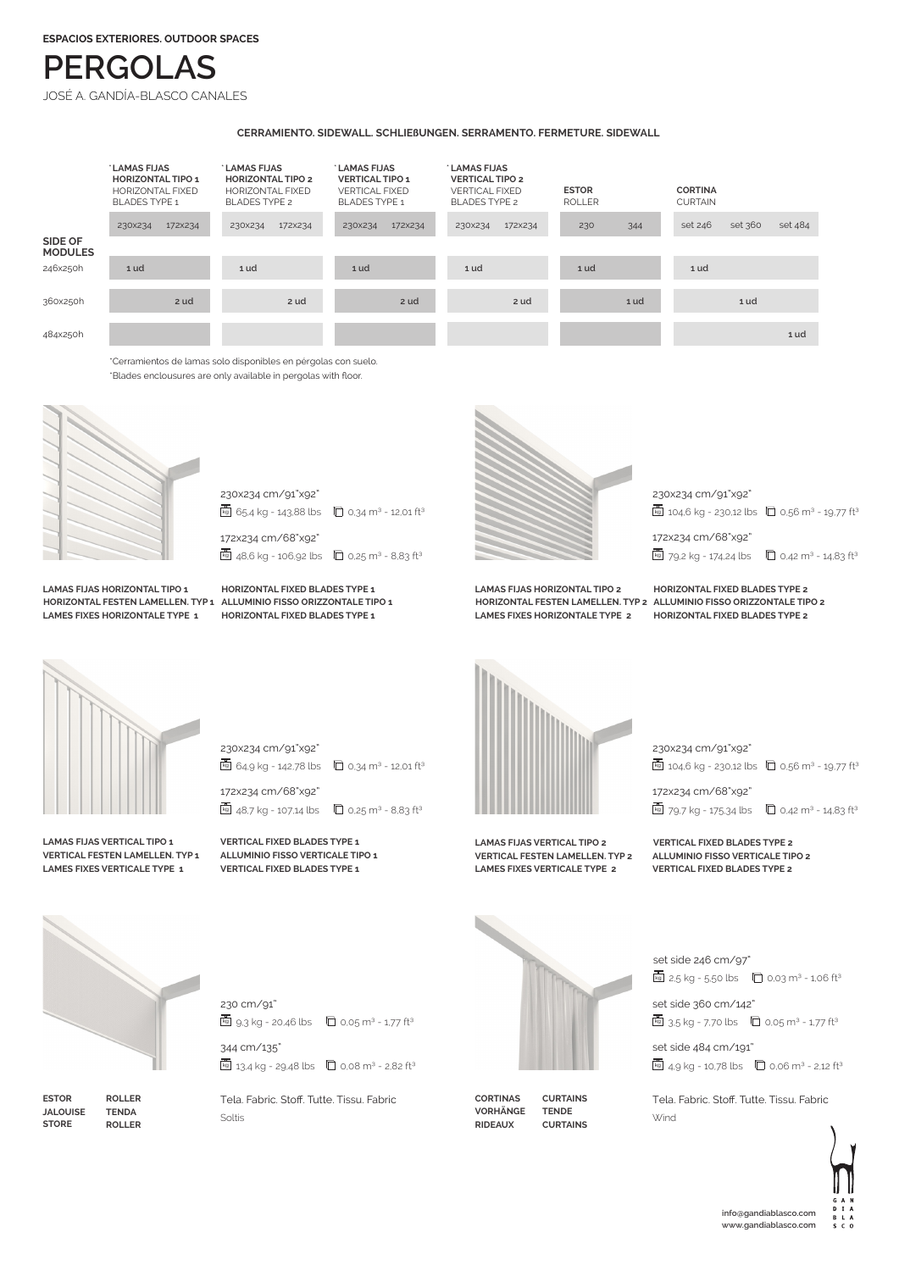# **PERGOLAS**

JOSÉ A. GANDÍA-BLASCO CANALES

### **CERRAMIENTO. SIDEWALL. SCHLIEßUNGEN. SERRAMENTO. FERMETURE. SIDEWALL**



\*Blades enclousures are only available in pergolas with floor.





**LAMAS FIJAS HORIZONTAL TIPO 1 LAMES FIXES HORIZONTALE TYPE 1**

**HORIZONTAL FESTEN LAMELLEN. TYP 1 ALLUMINIO FISSO ORIZZONTALE TIPO 1 HORIZONTAL FIXED BLADES TYPE 1 HORIZONTAL FIXED BLADES TYPE 1**



**LAMAS FIJAS HORIZONTAL TIPO 2 LAMES FIXES HORIZONTALE TYPE 2**

172x234 cm/68"x92" 230x234 cm/91"x92"  $k_9$  104,6 kg - 230,12 lbs  $\Box$  0,56 m<sup>3</sup> - 19,77 ft<sup>3</sup>

 $\overline{kq}$  79,2 kg - 174,24 lbs  $\overline{Q}$  0,42 m<sup>3</sup> - 14,83 ft<sup>3</sup>

**HORIZONTAL FESTEN LAMELLEN. TYP 2 ALLUMINIO FISSO ORIZZONTALE TIPO 2 HORIZONTAL FIXED BLADES TYPE 2 HORIZONTAL FIXED BLADES TYPE 2**

**LAMAS FIJAS VERTICAL TIPO 1 VERTICAL FESTEN LAMELLEN. TYP 1 LAMES FIXES VERTICALE TYPE 1**

230x234 cm/91"x92"  $k_9$  64,9 kg - 142,78 lbs  $\Box$  0,34 m<sup>3</sup> - 12,01 ft<sup>3</sup>

172x234 cm/68"x92" **kg** 48,7 kg - 107,14 lbs  $\Box$  0,25 m<sup>3</sup> - 8,83 ft<sup>3</sup>

**VERTICAL FIXED BLADES TYPE 1 ALLUMINIO FISSO VERTICALE TIPO 1 VERTICAL FIXED BLADES TYPE 1**



**LAMAS FIJAS VERTICAL TIPO 2 VERTICAL FESTEN LAMELLEN. TYP 2 LAMES FIXES VERTICALE TYPE 2**

230x234 cm/91"x92"

 $k = 104.6$  kg - 230,12 lbs  $\Box$  0.56 m<sup>3</sup> - 19,77 ft<sup>3</sup>

172x234 cm/68"x92"  $\overline{k}$  79,7 kg - 175,34 lbs  $\overline{0}$  0,42 m<sup>3</sup> - 14,83 ft<sup>3</sup>

**VERTICAL FIXED BLADES TYPE 2 ALLUMINIO FISSO VERTICALE TIPO 2 VERTICAL FIXED BLADES TYPE 2**



**ESTOR JALOUISE STORE ROLLER TENDA ROLLER**  $k_9$  13,4 kg - 29,48 lbs  $\Box$  0,08 m<sup>3</sup> - 2,82 ft<sup>3</sup> Tela. Fabric. Stoff. Tutte. Tissu. Fabric

 $\overline{u}_9$  9,3 kg - 20,46 lbs  $\overline{u}_9$  0,05 m<sup>3</sup> - 1,77 ft<sup>3</sup>

344 cm/135"

Soltis

230 cm/91"

**CORTINAS VORHÄNGE RIDEAUX TENDE**



**CURTAINS**



set side 360 cm/142"

 $kq$  3,5 kg - 7,70 lbs  $\Box$  0,05 m<sup>3</sup> - 1,77 ft<sup>3</sup>

set side 484 cm/191"  $k = 4.9 \text{ kg} - 10.78 \text{ lbs}$  0.06 m<sup>3</sup> - 2,12 ft<sup>3</sup>

Tela. Fabric. Stoff. Tutte. Tissu. Fabric Wind